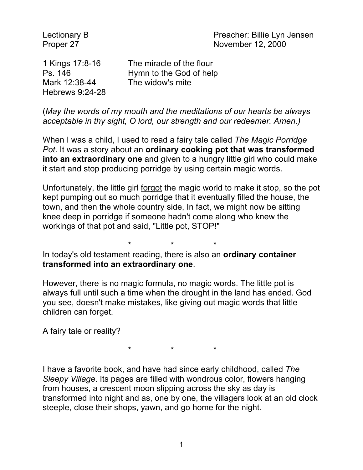Lectionary B **Preacher:** Billie Lyn Jensen Proper 27 November 12, 2000

Mark 12:38-44 The widow's mite Hebrews 9:24-28

1 Kings 17:8-16 The miracle of the flour Ps. 146 Hymn to the God of help

(*May the words of my mouth and the meditations of our hearts be always acceptable in thy sight, O lord, our strength and our redeemer. Amen.)*

When I was a child, I used to read a fairy tale called *The Magic Porridge Pot*. It was a story about an **ordinary cooking pot that was transformed into an extraordinary one** and given to a hungry little girl who could make it start and stop producing porridge by using certain magic words.

Unfortunately, the little girl forgot the magic world to make it stop, so the pot kept pumping out so much porridge that it eventually filled the house, the town, and then the whole country side, In fact, we might now be sitting knee deep in porridge if someone hadn't come along who knew the workings of that pot and said, "Little pot, STOP!"

\* \* \*

In today's old testament reading, there is also an **ordinary container transformed into an extraordinary one**.

However, there is no magic formula, no magic words. The little pot is always full until such a time when the drought in the land has ended. God you see, doesn't make mistakes, like giving out magic words that little children can forget.

A fairy tale or reality?

\* \* \*

I have a favorite book, and have had since early childhood, called *The Sleepy Village*. Its pages are filled with wondrous color, flowers hanging from houses, a crescent moon slipping across the sky as day is transformed into night and as, one by one, the villagers look at an old clock steeple, close their shops, yawn, and go home for the night.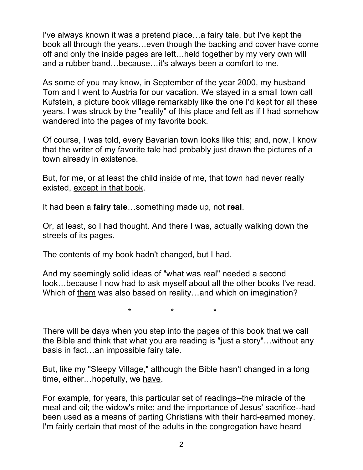I've always known it was a pretend place…a fairy tale, but I've kept the book all through the years…even though the backing and cover have come off and only the inside pages are left…held together by my very own will and a rubber band…because…it's always been a comfort to me.

As some of you may know, in September of the year 2000, my husband Tom and I went to Austria for our vacation. We stayed in a small town call Kufstein, a picture book village remarkably like the one I'd kept for all these years. I was struck by the "reality" of this place and felt as if I had somehow wandered into the pages of my favorite book.

Of course, I was told, every Bavarian town looks like this; and, now, I know that the writer of my favorite tale had probably just drawn the pictures of a town already in existence.

But, for me, or at least the child inside of me, that town had never really existed, except in that book.

It had been a **fairy tale**…something made up, not **real**.

Or, at least, so I had thought. And there I was, actually walking down the streets of its pages.

The contents of my book hadn't changed, but I had.

And my seemingly solid ideas of "what was real" needed a second look…because I now had to ask myself about all the other books I've read. Which of them was also based on reality...and which on imagination?

\* \* \*

There will be days when you step into the pages of this book that we call the Bible and think that what you are reading is "just a story"…without any basis in fact…an impossible fairy tale.

But, like my "Sleepy Village," although the Bible hasn't changed in a long time, either…hopefully, we have.

For example, for years, this particular set of readings--the miracle of the meal and oil; the widow's mite; and the importance of Jesus' sacrifice--had been used as a means of parting Christians with their hard-earned money. I'm fairly certain that most of the adults in the congregation have heard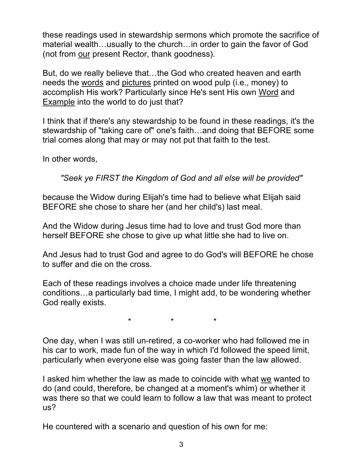these readings used in stewardship sermons which promote the sacrifice of material wealth…usually to the church…in order to gain the favor of God (not from our present Rector, thank goodness).

But, do we really believe that…the God who created heaven and earth needs the words and pictures printed on wood pulp (i.e., money) to accomplish His work? Particularly since He's sent His own Word and Example into the world to do just that?

I think that if there's any stewardship to be found in these readings, it's the stewardship of "taking care of" one's faith…and doing that BEFORE some trial comes along that may or may not put that faith to the test.

In other words,

*"Seek ye FIRST the Kingdom of God and all else will be provided"*

because the Widow during Elijah's time had to believe what Elijah said BEFORE she chose to share her (and her child's) last meal.

And the Widow during Jesus time had to love and trust God more than herself BEFORE she chose to give up what little she had to live on.

And Jesus had to trust God and agree to do God's will BEFORE he chose to suffer and die on the cross.

Each of these readings involves a choice made under life threatening conditions…a particularly bad time, I might add, to be wondering whether God really exists.

 $\star$   $\star$   $\star$ 

One day, when I was still un-retired, a co-worker who had followed me in his car to work, made fun of the way in which I'd followed the speed limit, particularly when everyone else was going faster than the law allowed.

I asked him whether the law as made to coincide with what we wanted to do (and could, therefore, be changed at a moment's whim) or whether it was there so that we could learn to follow a law that was meant to protect us?

He countered with a scenario and question of his own for me: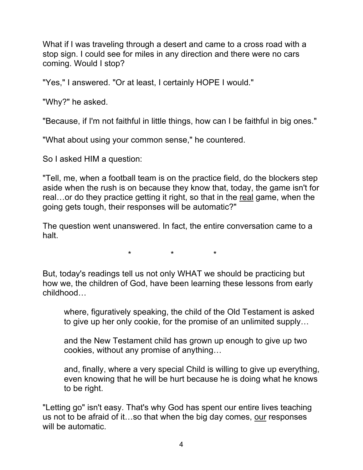What if I was traveling through a desert and came to a cross road with a stop sign. I could see for miles in any direction and there were no cars coming. Would I stop?

"Yes," I answered. "Or at least, I certainly HOPE I would."

"Why?" he asked.

"Because, if I'm not faithful in little things, how can I be faithful in big ones."

"What about using your common sense," he countered.

So I asked HIM a question:

"Tell, me, when a football team is on the practice field, do the blockers step aside when the rush is on because they know that, today, the game isn't for real…or do they practice getting it right, so that in the real game, when the going gets tough, their responses will be automatic?"

The question went unanswered. In fact, the entire conversation came to a halt.

\* \* \*

But, today's readings tell us not only WHAT we should be practicing but how we, the children of God, have been learning these lessons from early childhood…

where, figuratively speaking, the child of the Old Testament is asked to give up her only cookie, for the promise of an unlimited supply…

and the New Testament child has grown up enough to give up two cookies, without any promise of anything…

and, finally, where a very special Child is willing to give up everything, even knowing that he will be hurt because he is doing what he knows to be right.

"Letting go" isn't easy. That's why God has spent our entire lives teaching us not to be afraid of it…so that when the big day comes, our responses will be automatic.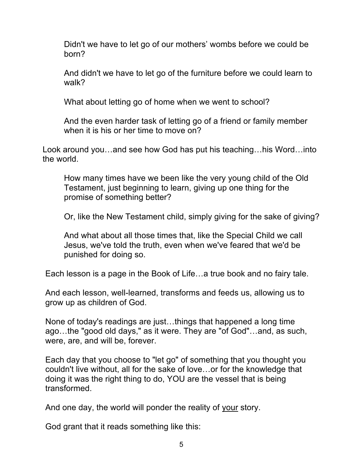Didn't we have to let go of our mothers' wombs before we could be born?

And didn't we have to let go of the furniture before we could learn to walk?

What about letting go of home when we went to school?

And the even harder task of letting go of a friend or family member when it is his or her time to move on?

Look around you…and see how God has put his teaching…his Word…into the world.

How many times have we been like the very young child of the Old Testament, just beginning to learn, giving up one thing for the promise of something better?

Or, like the New Testament child, simply giving for the sake of giving?

And what about all those times that, like the Special Child we call Jesus, we've told the truth, even when we've feared that we'd be punished for doing so.

Each lesson is a page in the Book of Life…a true book and no fairy tale.

And each lesson, well-learned, transforms and feeds us, allowing us to grow up as children of God.

None of today's readings are just…things that happened a long time ago…the "good old days," as it were. They are "of God"…and, as such, were, are, and will be, forever.

Each day that you choose to "let go" of something that you thought you couldn't live without, all for the sake of love…or for the knowledge that doing it was the right thing to do, YOU are the vessel that is being transformed.

And one day, the world will ponder the reality of your story.

God grant that it reads something like this: